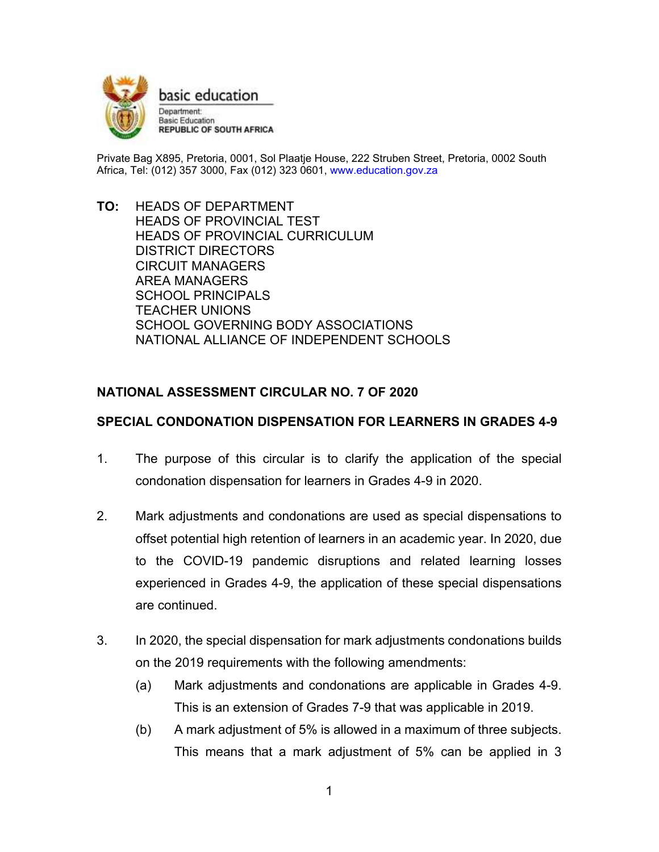

basic education Department: **Basic Education REPUBLIC OF SOUTH AFRICA** 

Private Bag X895, Pretoria, 0001, Sol Plaatje House, 222 Struben Street, Pretoria, 0002 South Africa, Tel: (012) 357 3000, Fax (012) 323 0601, www.education.gov.za

**TO:** HEADS OF DEPARTMENT HEADS OF PROVINCIAL TEST HEADS OF PROVINCIAL CURRICULUM DISTRICT DIRECTORS CIRCUIT MANAGERS AREA MANAGERS SCHOOL PRINCIPALS TEACHER UNIONS SCHOOL GOVERNING BODY ASSOCIATIONS NATIONAL ALLIANCE OF INDEPENDENT SCHOOLS

## **NATIONAL ASSESSMENT CIRCULAR NO. 7 OF 2020**

## **SPECIAL CONDONATION DISPENSATION FOR LEARNERS IN GRADES 4-9**

- 1. The purpose of this circular is to clarify the application of the special condonation dispensation for learners in Grades 4-9 in 2020.
- 2. Mark adjustments and condonations are used as special dispensations to offset potential high retention of learners in an academic year. In 2020, due to the COVID-19 pandemic disruptions and related learning losses experienced in Grades 4-9, the application of these special dispensations are continued.
- 3. In 2020, the special dispensation for mark adjustments condonations builds on the 2019 requirements with the following amendments:
	- (a) Mark adjustments and condonations are applicable in Grades 4-9. This is an extension of Grades 7-9 that was applicable in 2019.
	- (b) A mark adjustment of 5% is allowed in a maximum of three subjects. This means that a mark adjustment of 5% can be applied in 3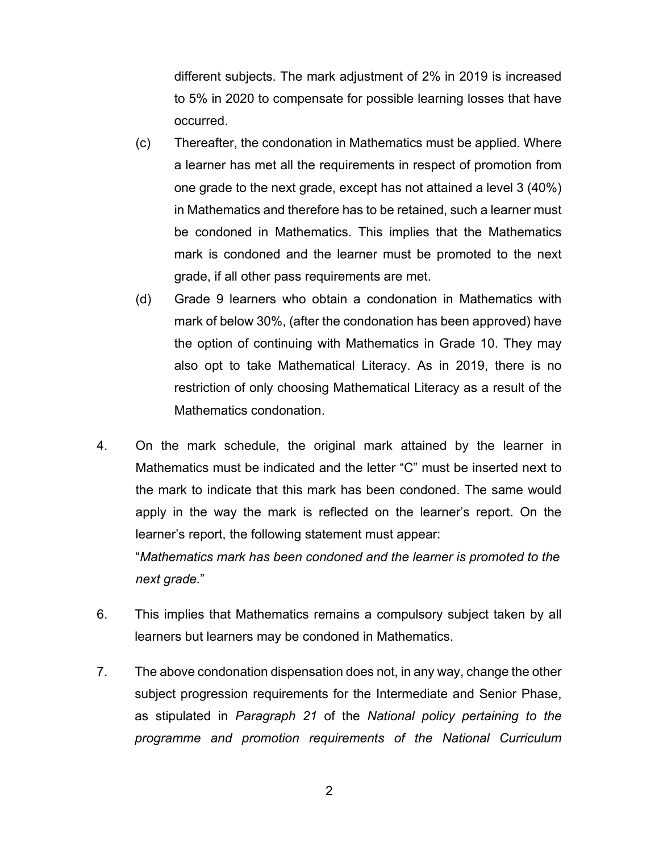different subjects. The mark adjustment of 2% in 2019 is increased to 5% in 2020 to compensate for possible learning losses that have occurred.

- (c) Thereafter, the condonation in Mathematics must be applied. Where a learner has met all the requirements in respect of promotion from one grade to the next grade, except has not attained a level 3 (40%) in Mathematics and therefore has to be retained, such a learner must be condoned in Mathematics. This implies that the Mathematics mark is condoned and the learner must be promoted to the next grade, if all other pass requirements are met.
- (d) Grade 9 learners who obtain a condonation in Mathematics with mark of below 30%, (after the condonation has been approved) have the option of continuing with Mathematics in Grade 10. They may also opt to take Mathematical Literacy. As in 2019, there is no restriction of only choosing Mathematical Literacy as a result of the Mathematics condonation.
- 4. On the mark schedule, the original mark attained by the learner in Mathematics must be indicated and the letter "C" must be inserted next to the mark to indicate that this mark has been condoned. The same would apply in the way the mark is reflected on the learner's report. On the learner's report, the following statement must appear: "*Mathematics mark has been condoned and the learner is promoted to the next grade.*"
- 6. This implies that Mathematics remains a compulsory subject taken by all learners but learners may be condoned in Mathematics.
- 7. The above condonation dispensation does not, in any way, change the other subject progression requirements for the Intermediate and Senior Phase, as stipulated in *Paragraph 21* of the *National policy pertaining to the programme and promotion requirements of the National Curriculum*